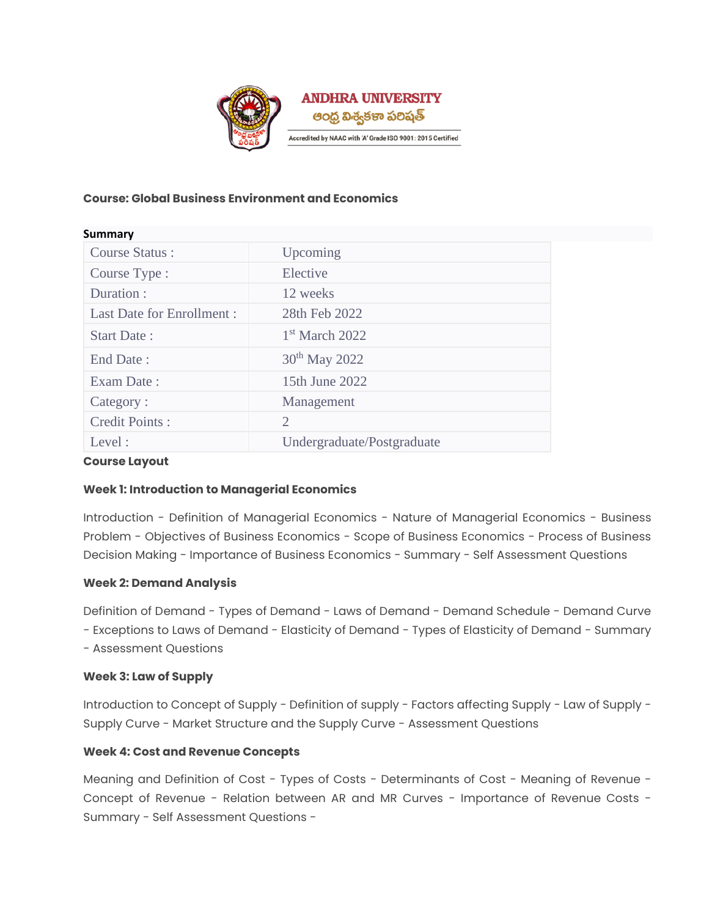

# **Course: Global Business Environment and Economics**

| Summary                          |                            |
|----------------------------------|----------------------------|
| <b>Course Status:</b>            | Upcoming                   |
| Course Type :                    | Elective                   |
| Duration :                       | 12 weeks                   |
| <b>Last Date for Enrollment:</b> | 28th Feb 2022              |
| <b>Start Date:</b>               | $1st$ March 2022           |
| End Date:                        | 30 <sup>th</sup> May 2022  |
| Exam Date:                       | 15th June 2022             |
| Category:                        | Management                 |
| Credit Points:                   | 2                          |
| Level:                           | Undergraduate/Postgraduate |

# **Course Layout**

# **Week 1: Introduction to Managerial Economics**

Introduction - Definition of Managerial Economics - Nature of Managerial Economics - Business Problem - Objectives of Business Economics - Scope of Business Economics - Process of Business Decision Making - Importance of Business Economics - Summary - Self Assessment Questions

# **Week 2: Demand Analysis**

Definition of Demand - Types of Demand - Laws of Demand - Demand Schedule - Demand Curve - Exceptions to Laws of Demand - Elasticity of Demand - Types of Elasticity of Demand - Summary

- Assessment Questions

# **Week 3: Law of Supply**

Introduction to Concept of Supply - Definition of supply - Factors affecting Supply - Law of Supply - Supply Curve - Market Structure and the Supply Curve - Assessment Questions

# **Week 4: Cost and Revenue Concepts**

Meaning and Definition of Cost - Types of Costs - Determinants of Cost - Meaning of Revenue - Concept of Revenue - Relation between AR and MR Curves - Importance of Revenue Costs - Summary - Self Assessment Questions -